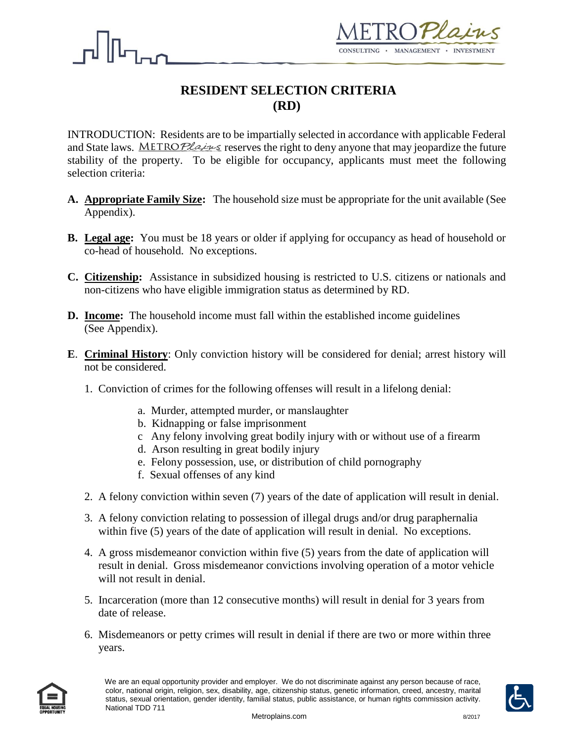



# **RESIDENT SELECTION CRITERIA (RD)**

INTRODUCTION: Residents are to be impartially selected in accordance with applicable Federal and State laws. METROPlains reserves the right to deny anyone that may jeopardize the future stability of the property. To be eligible for occupancy, applicants must meet the following selection criteria:

- **A. Appropriate Family Size:** The household size must be appropriate for the unit available (See Appendix).
- **B. Legal age:** You must be 18 years or older if applying for occupancy as head of household or co-head of household. No exceptions.
- **C. Citizenship:** Assistance in subsidized housing is restricted to U.S. citizens or nationals and non-citizens who have eligible immigration status as determined by RD.
- **D. Income:** The household income must fall within the established income guidelines (See Appendix).
- **E**. **Criminal History**: Only conviction history will be considered for denial; arrest history will not be considered.
	- 1. Conviction of crimes for the following offenses will result in a lifelong denial:
		- a. Murder, attempted murder, or manslaughter
		- b. Kidnapping or false imprisonment
		- c Any felony involving great bodily injury with or without use of a firearm
		- d. Arson resulting in great bodily injury
		- e. Felony possession, use, or distribution of child pornography
		- f. Sexual offenses of any kind
	- 2. A felony conviction within seven (7) years of the date of application will result in denial.
	- 3. A felony conviction relating to possession of illegal drugs and/or drug paraphernalia within five (5) years of the date of application will result in denial. No exceptions.
	- 4. A gross misdemeanor conviction within five (5) years from the date of application will result in denial. Gross misdemeanor convictions involving operation of a motor vehicle will not result in denial.
	- 5. Incarceration (more than 12 consecutive months) will result in denial for 3 years from date of release.
	- 6. Misdemeanors or petty crimes will result in denial if there are two or more within three years.



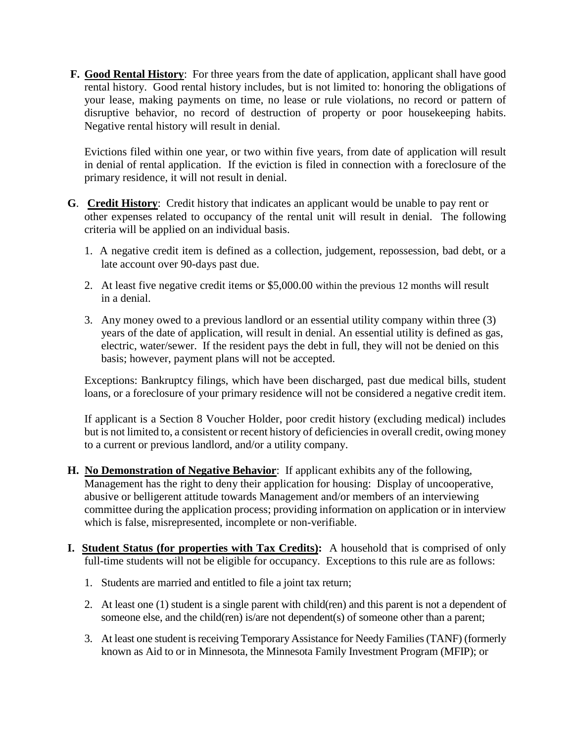**F.** Good Rental History: For three years from the date of application, applicant shall have good rental history. Good rental history includes, but is not limited to: honoring the obligations of your lease, making payments on time, no lease or rule violations, no record or pattern of disruptive behavior, no record of destruction of property or poor housekeeping habits. Negative rental history will result in denial.

 Evictions filed within one year, or two within five years, from date of application will result in denial of rental application. If the eviction is filed in connection with a foreclosure of the primary residence, it will not result in denial.

- **G**. **Credit History**: Credit history that indicates an applicant would be unable to pay rent or other expenses related to occupancy of the rental unit will result in denial. The following criteria will be applied on an individual basis.
	- 1. A negative credit item is defined as a collection, judgement, repossession, bad debt, or a late account over 90-days past due.
	- 2. At least five negative credit items or \$5,000.00 within the previous 12 months will result in a denial.
	- 3. Any money owed to a previous landlord or an essential utility company within three (3) years of the date of application, will result in denial. An essential utility is defined as gas, electric, water/sewer. If the resident pays the debt in full, they will not be denied on this basis; however, payment plans will not be accepted.

Exceptions: Bankruptcy filings, which have been discharged, past due medical bills, student loans, or a foreclosure of your primary residence will not be considered a negative credit item.

If applicant is a Section 8 Voucher Holder, poor credit history (excluding medical) includes but is not limited to, a consistent or recent history of deficiencies in overall credit, owing money to a current or previous landlord, and/or a utility company.

- **H. No Demonstration of Negative Behavior**: If applicant exhibits any of the following, Management has the right to deny their application for housing: Display of uncooperative, abusive or belligerent attitude towards Management and/or members of an interviewing committee during the application process; providing information on application or in interview which is false, misrepresented, incomplete or non-verifiable.
- **I. Student Status (for properties with Tax Credits):** A household that is comprised of only full-time students will not be eligible for occupancy. Exceptions to this rule are as follows:
	- 1. Students are married and entitled to file a joint tax return;
	- 2. At least one (1) student is a single parent with child(ren) and this parent is not a dependent of someone else, and the child(ren) is/are not dependent(s) of someone other than a parent;
	- 3. At least one student is receiving Temporary Assistance for Needy Families (TANF) (formerly known as Aid to or in Minnesota, the Minnesota Family Investment Program (MFIP); or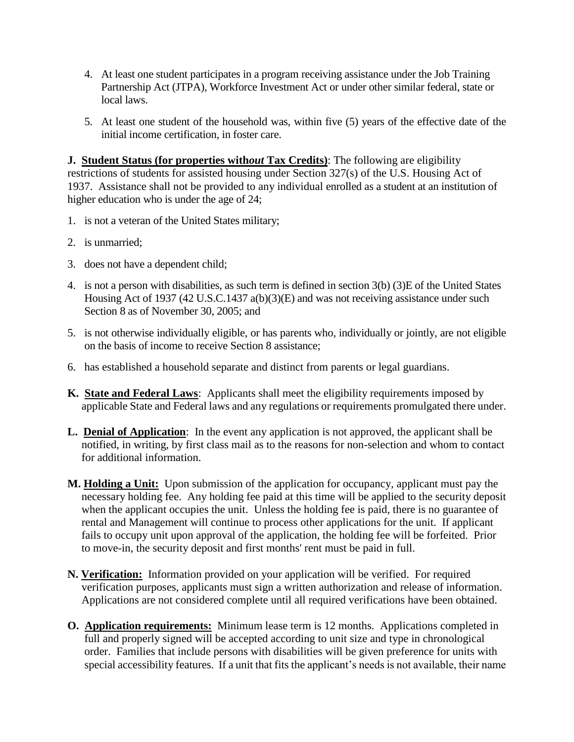- 4. At least one student participates in a program receiving assistance under the Job Training Partnership Act (JTPA), Workforce Investment Act or under other similar federal, state or local laws.
- 5. At least one student of the household was, within five (5) years of the effective date of the initial income certification, in foster care.

**J. Student Status (for properties with***out* **Tax Credits)**: The following are eligibility restrictions of students for assisted housing under Section 327(s) of the U.S. Housing Act of 1937. Assistance shall not be provided to any individual enrolled as a student at an institution of higher education who is under the age of 24;

- 1. is not a veteran of the United States military;
- 2. is unmarried;
- 3. does not have a dependent child;
- 4. is not a person with disabilities, as such term is defined in section 3(b) (3)E of the United States Housing Act of 1937 (42 U.S.C.1437 a(b)(3)(E) and was not receiving assistance under such Section 8 as of November 30, 2005; and
- 5. is not otherwise individually eligible, or has parents who, individually or jointly, are not eligible on the basis of income to receive Section 8 assistance;
- 6. has established a household separate and distinct from parents or legal guardians.
- **K. State and Federal Laws**: Applicants shall meet the eligibility requirements imposed by applicable State and Federal laws and any regulations or requirements promulgated there under.
- **L. Denial of Application**: In the event any application is not approved, the applicant shall be notified, in writing, by first class mail as to the reasons for non-selection and whom to contact for additional information.
- **M. Holding a Unit:** Upon submission of the application for occupancy, applicant must pay the necessary holding fee. Any holding fee paid at this time will be applied to the security deposit when the applicant occupies the unit. Unless the holding fee is paid, there is no guarantee of rental and Management will continue to process other applications for the unit. If applicant fails to occupy unit upon approval of the application, the holding fee will be forfeited. Prior to move-in, the security deposit and first months' rent must be paid in full.
- **N. Verification:** Information provided on your application will be verified. For required verification purposes, applicants must sign a written authorization and release of information. Applications are not considered complete until all required verifications have been obtained.
- **O. Application requirements:** Minimum lease term is 12 months. Applications completed in full and properly signed will be accepted according to unit size and type in chronological order. Families that include persons with disabilities will be given preference for units with special accessibility features. If a unit that fits the applicant's needs is not available, their name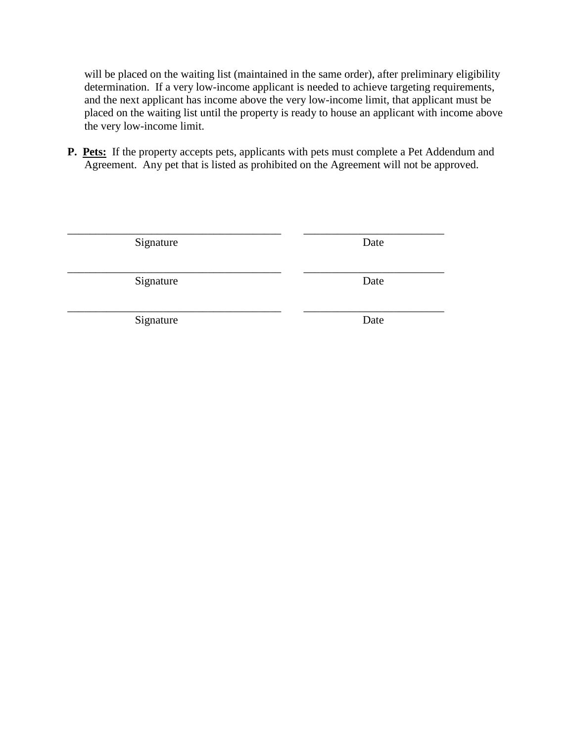will be placed on the waiting list (maintained in the same order), after preliminary eligibility determination. If a very low-income applicant is needed to achieve targeting requirements, and the next applicant has income above the very low-income limit, that applicant must be placed on the waiting list until the property is ready to house an applicant with income above the very low-income limit.

**P.** Pets: If the property accepts pets, applicants with pets must complete a Pet Addendum and Agreement. Any pet that is listed as prohibited on the Agreement will not be approved.

| Signature | Date |
|-----------|------|
|           |      |
|           |      |
| Signature | Date |
|           |      |
|           |      |
| Signature | Date |